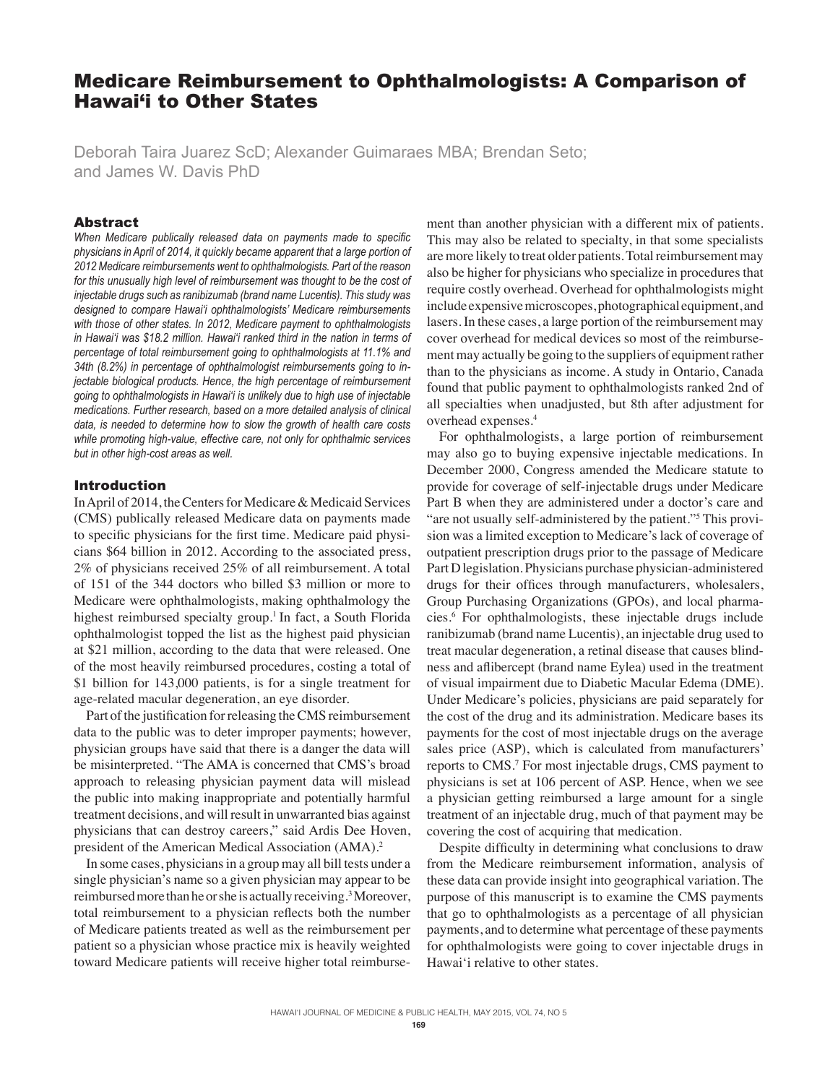# Medicare Reimbursement to Ophthalmologists: A Comparison of Hawai'i to Other States

Deborah Taira Juarez ScD; Alexander Guimaraes MBA; Brendan Seto; and James W. Davis PhD

## Abstract

*When Medicare publically released data on payments made to specific physicians in April of 2014, it quickly became apparent that a large portion of 2012 Medicare reimbursements went to ophthalmologists. Part of the reason*  for this unusually high level of reimbursement was thought to be the cost of *injectable drugs such as ranibizumab (brand name Lucentis). This study was designed to compare Hawai'i ophthalmologists' Medicare reimbursements with those of other states. In 2012, Medicare payment to ophthalmologists in Hawai'i was \$18.2 million. Hawai'i ranked third in the nation in terms of percentage of total reimbursement going to ophthalmologists at 11.1% and 34th (8.2%) in percentage of ophthalmologist reimbursements going to injectable biological products. Hence, the high percentage of reimbursement going to ophthalmologists in Hawai'i is unlikely due to high use of injectable medications. Further research, based on a more detailed analysis of clinical data, is needed to determine how to slow the growth of health care costs while promoting high-value, effective care, not only for ophthalmic services but in other high-cost areas as well.* 

## Introduction

In April of 2014, the Centers for Medicare & Medicaid Services (CMS) publically released Medicare data on payments made to specific physicians for the first time. Medicare paid physicians \$64 billion in 2012. According to the associated press, 2% of physicians received 25% of all reimbursement. A total of 151 of the 344 doctors who billed \$3 million or more to Medicare were ophthalmologists, making ophthalmology the highest reimbursed specialty group.<sup>1</sup> In fact, a South Florida ophthalmologist topped the list as the highest paid physician at \$21 million, according to the data that were released. One of the most heavily reimbursed procedures, costing a total of \$1 billion for 143,000 patients, is for a single treatment for age-related macular degeneration, an eye disorder.

Part of the justification for releasing the CMS reimbursement data to the public was to deter improper payments; however, physician groups have said that there is a danger the data will be misinterpreted. "The AMA is concerned that CMS's broad approach to releasing physician payment data will mislead the public into making inappropriate and potentially harmful treatment decisions, and will result in unwarranted bias against physicians that can destroy careers," said Ardis Dee Hoven, president of the American Medical Association (AMA).<sup>2</sup>

In some cases, physicians in a group may all bill tests under a single physician's name so a given physician may appear to be reimbursed more than he or she is actually receiving.<sup>3</sup> Moreover, total reimbursement to a physician reflects both the number of Medicare patients treated as well as the reimbursement per patient so a physician whose practice mix is heavily weighted toward Medicare patients will receive higher total reimburse-

ment than another physician with a different mix of patients. This may also be related to specialty, in that some specialists are more likely to treat older patients. Total reimbursement may also be higher for physicians who specialize in procedures that require costly overhead. Overhead for ophthalmologists might include expensive microscopes, photographical equipment, and lasers. In these cases, a large portion of the reimbursement may cover overhead for medical devices so most of the reimbursement may actually be going to the suppliers of equipment rather than to the physicians as income. A study in Ontario, Canada found that public payment to ophthalmologists ranked 2nd of all specialties when unadjusted, but 8th after adjustment for overhead expenses.<sup>4</sup>

For ophthalmologists, a large portion of reimbursement may also go to buying expensive injectable medications. In December 2000, Congress amended the Medicare statute to provide for coverage of self-injectable drugs under Medicare Part B when they are administered under a doctor's care and "are not usually self-administered by the patient."<sup>5</sup> This provision was a limited exception to Medicare's lack of coverage of outpatient prescription drugs prior to the passage of Medicare Part D legislation. Physicians purchase physician-administered drugs for their offices through manufacturers, wholesalers, Group Purchasing Organizations (GPOs), and local pharmacies.<sup>6</sup> For ophthalmologists, these injectable drugs include ranibizumab (brand name Lucentis), an injectable drug used to treat macular degeneration, a retinal disease that causes blindness and aflibercept (brand name Eylea) used in the treatment of visual impairment due to Diabetic Macular Edema (DME). Under Medicare's policies, physicians are paid separately for the cost of the drug and its administration. Medicare bases its payments for the cost of most injectable drugs on the average sales price (ASP), which is calculated from manufacturers' reports to CMS.<sup>7</sup> For most injectable drugs, CMS payment to physicians is set at 106 percent of ASP. Hence, when we see a physician getting reimbursed a large amount for a single treatment of an injectable drug, much of that payment may be covering the cost of acquiring that medication.

Despite difficulty in determining what conclusions to draw from the Medicare reimbursement information, analysis of these data can provide insight into geographical variation. The purpose of this manuscript is to examine the CMS payments that go to ophthalmologists as a percentage of all physician payments, and to determine what percentage of these payments for ophthalmologists were going to cover injectable drugs in Hawai'i relative to other states.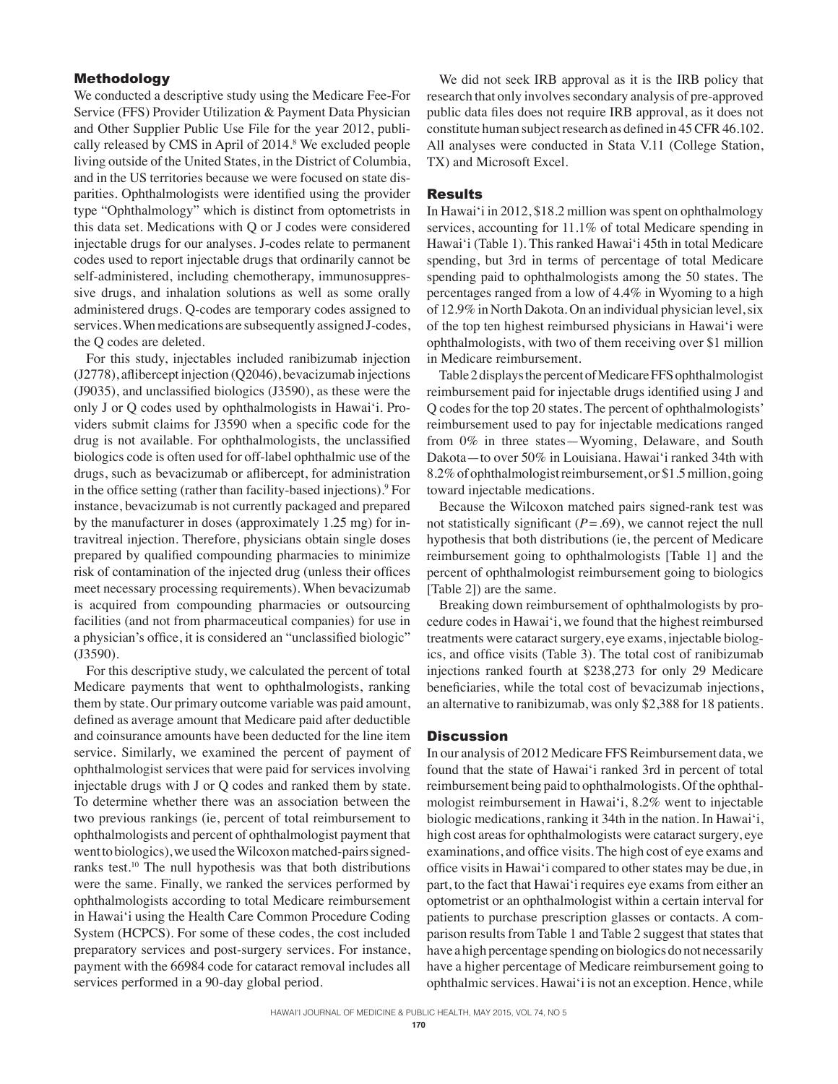# Methodology

We conducted a descriptive study using the Medicare Fee-For Service (FFS) Provider Utilization & Payment Data Physician and Other Supplier Public Use File for the year 2012, publically released by CMS in April of 2014.<sup>8</sup> We excluded people living outside of the United States, in the District of Columbia, and in the US territories because we were focused on state disparities. Ophthalmologists were identified using the provider type "Ophthalmology" which is distinct from optometrists in this data set. Medications with Q or J codes were considered injectable drugs for our analyses. J-codes relate to permanent codes used to report injectable drugs that ordinarily cannot be self-administered, including chemotherapy, immunosuppressive drugs, and inhalation solutions as well as some orally administered drugs. Q-codes are temporary codes assigned to services. When medications are subsequently assigned J-codes, the Q codes are deleted.

For this study, injectables included ranibizumab injection (J2778), aflibercept injection (Q2046), bevacizumab injections (J9035), and unclassified biologics (J3590), as these were the only J or Q codes used by ophthalmologists in Hawai'i. Providers submit claims for J3590 when a specific code for the drug is not available. For ophthalmologists, the unclassified biologics code is often used for off-label ophthalmic use of the drugs, such as bevacizumab or aflibercept, for administration in the office setting (rather than facility-based injections).9 For instance, bevacizumab is not currently packaged and prepared by the manufacturer in doses (approximately 1.25 mg) for intravitreal injection. Therefore, physicians obtain single doses prepared by qualified compounding pharmacies to minimize risk of contamination of the injected drug (unless their offices meet necessary processing requirements). When bevacizumab is acquired from compounding pharmacies or outsourcing facilities (and not from pharmaceutical companies) for use in a physician's office, it is considered an "unclassified biologic" (J3590).

For this descriptive study, we calculated the percent of total Medicare payments that went to ophthalmologists, ranking them by state. Our primary outcome variable was paid amount, defined as average amount that Medicare paid after deductible and coinsurance amounts have been deducted for the line item service. Similarly, we examined the percent of payment of ophthalmologist services that were paid for services involving injectable drugs with J or Q codes and ranked them by state. To determine whether there was an association between the two previous rankings (ie, percent of total reimbursement to ophthalmologists and percent of ophthalmologist payment that went to biologics), we used the Wilcoxon matched-pairs signedranks test.10 The null hypothesis was that both distributions were the same. Finally, we ranked the services performed by ophthalmologists according to total Medicare reimbursement in Hawai'i using the Health Care Common Procedure Coding System (HCPCS). For some of these codes, the cost included preparatory services and post-surgery services. For instance, payment with the 66984 code for cataract removal includes all services performed in a 90-day global period.

We did not seek IRB approval as it is the IRB policy that research that only involves secondary analysis of pre-approved public data files does not require IRB approval, as it does not constitute human subject research as defined in 45 CFR 46.102. All analyses were conducted in Stata V.11 (College Station, TX) and Microsoft Excel.

## **Results**

In Hawai'i in 2012, \$18.2 million was spent on ophthalmology services, accounting for 11.1% of total Medicare spending in Hawai'i (Table 1). This ranked Hawai'i 45th in total Medicare spending, but 3rd in terms of percentage of total Medicare spending paid to ophthalmologists among the 50 states. The percentages ranged from a low of 4.4% in Wyoming to a high of 12.9% in North Dakota. On an individual physician level, six of the top ten highest reimbursed physicians in Hawai'i were ophthalmologists, with two of them receiving over \$1 million in Medicare reimbursement.

Table 2 displays the percent of Medicare FFS ophthalmologist reimbursement paid for injectable drugs identified using J and Q codes for the top 20 states. The percent of ophthalmologists' reimbursement used to pay for injectable medications ranged from 0% in three states—Wyoming, Delaware, and South Dakota—to over 50% in Louisiana. Hawai'i ranked 34th with 8.2% of ophthalmologist reimbursement, or \$1.5 million, going toward injectable medications.

Because the Wilcoxon matched pairs signed-rank test was not statistically significant  $(P = .69)$ , we cannot reject the null hypothesis that both distributions (ie, the percent of Medicare reimbursement going to ophthalmologists [Table 1] and the percent of ophthalmologist reimbursement going to biologics [Table 2]) are the same.

Breaking down reimbursement of ophthalmologists by procedure codes in Hawai'i, we found that the highest reimbursed treatments were cataract surgery, eye exams, injectable biologics, and office visits (Table 3). The total cost of ranibizumab injections ranked fourth at \$238,273 for only 29 Medicare beneficiaries, while the total cost of bevacizumab injections, an alternative to ranibizumab, was only \$2,388 for 18 patients.

### **Discussion**

In our analysis of 2012 Medicare FFS Reimbursement data, we found that the state of Hawai'i ranked 3rd in percent of total reimbursement being paid to ophthalmologists. Of the ophthalmologist reimbursement in Hawai'i, 8.2% went to injectable biologic medications, ranking it 34th in the nation. In Hawai'i, high cost areas for ophthalmologists were cataract surgery, eye examinations, and office visits. The high cost of eye exams and office visits in Hawai'i compared to other states may be due, in part, to the fact that Hawai'i requires eye exams from either an optometrist or an ophthalmologist within a certain interval for patients to purchase prescription glasses or contacts. A comparison results from Table 1 and Table 2 suggest that states that have a high percentage spending on biologics do not necessarily have a higher percentage of Medicare reimbursement going to ophthalmic services. Hawai'i is not an exception. Hence, while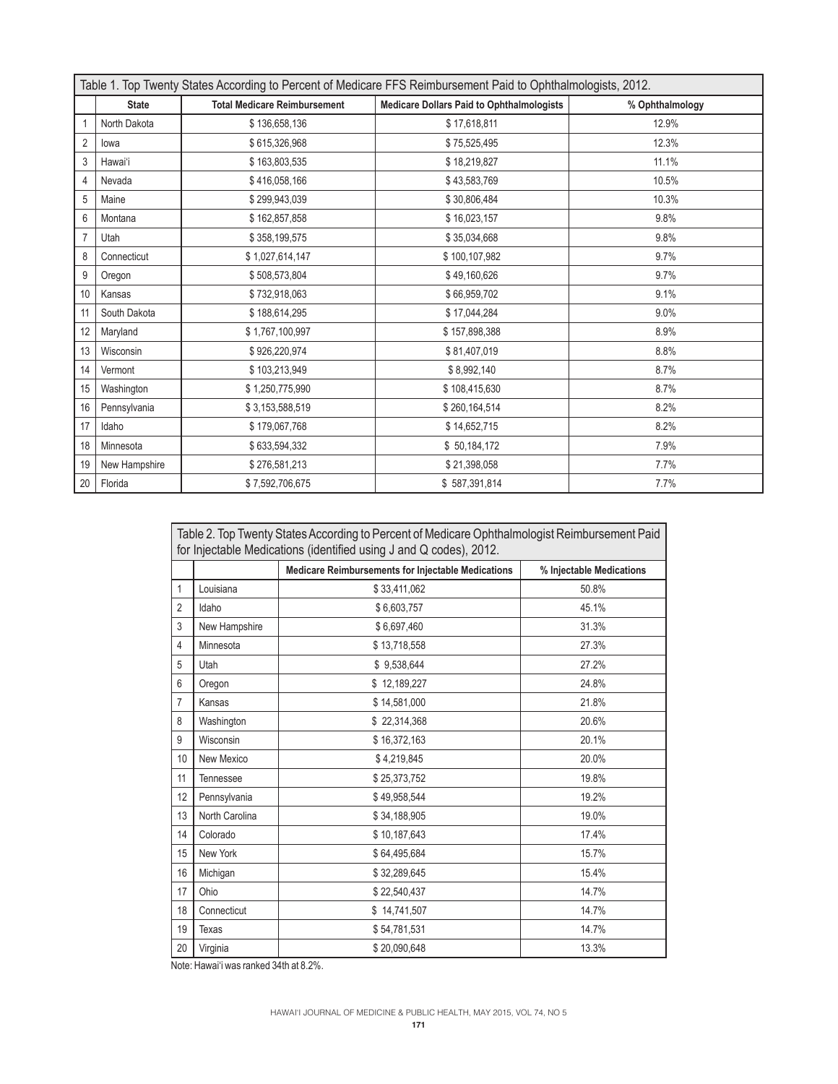| Table 1. Top Twenty States According to Percent of Medicare FFS Reimbursement Paid to Ophthalmologists, 2012. |               |                                     |                                                  |                 |  |  |  |
|---------------------------------------------------------------------------------------------------------------|---------------|-------------------------------------|--------------------------------------------------|-----------------|--|--|--|
|                                                                                                               | <b>State</b>  | <b>Total Medicare Reimbursement</b> | <b>Medicare Dollars Paid to Ophthalmologists</b> | % Ophthalmology |  |  |  |
|                                                                                                               | North Dakota  | \$136,658,136                       | \$17,618,811                                     | 12.9%           |  |  |  |
| $\overline{2}$                                                                                                | lowa          | \$615,326,968                       | \$75,525,495                                     | 12.3%           |  |  |  |
| 3                                                                                                             | Hawai'i       | \$163,803,535                       | \$18,219,827                                     | 11.1%           |  |  |  |
| 4                                                                                                             | Nevada        | \$416,058,166                       | \$43,583,769                                     | 10.5%           |  |  |  |
| 5                                                                                                             | Maine         | \$299,943,039                       | \$30,806,484                                     | 10.3%           |  |  |  |
| 6                                                                                                             | Montana       | \$162,857,858                       | \$16,023,157                                     | 9.8%            |  |  |  |
| 7                                                                                                             | Utah          | \$358,199,575                       | \$35,034,668                                     | 9.8%            |  |  |  |
| 8                                                                                                             | Connecticut   | \$1,027,614,147                     | \$100,107,982                                    | 9.7%            |  |  |  |
| 9                                                                                                             | Oregon        | \$508,573,804                       | \$49,160,626                                     | 9.7%            |  |  |  |
| 10                                                                                                            | Kansas        | \$732,918,063                       | \$66,959,702                                     | 9.1%            |  |  |  |
| 11                                                                                                            | South Dakota  | \$188,614,295                       | \$17,044,284                                     | 9.0%            |  |  |  |
| 12                                                                                                            | Maryland      | \$1,767,100,997                     | \$157,898,388                                    | 8.9%            |  |  |  |
| 13                                                                                                            | Wisconsin     | \$926,220,974                       | \$81,407,019                                     | 8.8%            |  |  |  |
| 14                                                                                                            | Vermont       | \$103,213,949                       | \$8,992,140                                      | 8.7%            |  |  |  |
| 15                                                                                                            | Washington    | \$1,250,775,990                     | \$108,415,630                                    | 8.7%            |  |  |  |
| 16                                                                                                            | Pennsylvania  | \$3,153,588,519                     | \$260,164,514                                    | 8.2%            |  |  |  |
| 17                                                                                                            | Idaho         | \$179,067,768                       | \$14,652,715                                     | 8.2%            |  |  |  |
| 18                                                                                                            | Minnesota     | \$633,594,332                       | \$50,184,172                                     | 7.9%            |  |  |  |
| 19                                                                                                            | New Hampshire | \$276,581,213                       | \$21,398,058                                     | 7.7%            |  |  |  |
| 20                                                                                                            | Florida       | \$7,592,706,675                     | \$587,391,814                                    | 7.7%            |  |  |  |

| Table 2. Top Twenty States According to Percent of Medicare Ophthalmologist Reimbursement Paid<br>for Injectable Medications (identified using J and Q codes), 2012. |                |                                                    |                          |  |  |  |
|----------------------------------------------------------------------------------------------------------------------------------------------------------------------|----------------|----------------------------------------------------|--------------------------|--|--|--|
|                                                                                                                                                                      |                | Medicare Reimbursements for Injectable Medications | % Injectable Medications |  |  |  |
| 1                                                                                                                                                                    | Louisiana      | \$33,411,062                                       | 50.8%                    |  |  |  |
| $\overline{2}$                                                                                                                                                       | Idaho          | \$6,603,757                                        | 45.1%                    |  |  |  |
| 3                                                                                                                                                                    | New Hampshire  | \$6,697,460                                        | 31.3%                    |  |  |  |
| 4                                                                                                                                                                    | Minnesota      | \$13,718,558                                       | 27.3%                    |  |  |  |
| 5                                                                                                                                                                    | Utah           | \$9,538,644                                        | 27.2%                    |  |  |  |
| 6                                                                                                                                                                    | Oregon         | \$12,189,227                                       | 24.8%                    |  |  |  |
| 7                                                                                                                                                                    | Kansas         | \$14,581,000                                       | 21.8%                    |  |  |  |
| 8                                                                                                                                                                    | Washington     | \$22,314,368                                       | 20.6%                    |  |  |  |
| 9                                                                                                                                                                    | Wisconsin      | \$16,372,163                                       | 20.1%                    |  |  |  |
| 10                                                                                                                                                                   | New Mexico     | \$4,219,845                                        | 20.0%                    |  |  |  |
| 11                                                                                                                                                                   | Tennessee      | \$25,373,752                                       | 19.8%                    |  |  |  |
| 12                                                                                                                                                                   | Pennsylvania   | \$49.958.544                                       | 19.2%                    |  |  |  |
| 13                                                                                                                                                                   | North Carolina | \$34,188,905                                       | 19.0%                    |  |  |  |
| 14                                                                                                                                                                   | Colorado       | \$10.187.643                                       | 17.4%                    |  |  |  |
| 15                                                                                                                                                                   | New York       | \$64,495,684                                       | 15.7%                    |  |  |  |
| 16                                                                                                                                                                   | Michigan       | \$32,289,645                                       | 15.4%                    |  |  |  |
| 17                                                                                                                                                                   | Ohio           | \$22,540,437                                       | 14.7%                    |  |  |  |
| 18                                                                                                                                                                   | Connecticut    | \$14,741,507                                       | 14.7%                    |  |  |  |
| 19                                                                                                                                                                   | Texas          | \$54,781,531                                       | 14.7%                    |  |  |  |
| 20                                                                                                                                                                   | Virginia       | \$20,090,648                                       | 13.3%                    |  |  |  |

Note: Hawai'i was ranked 34th at 8.2%.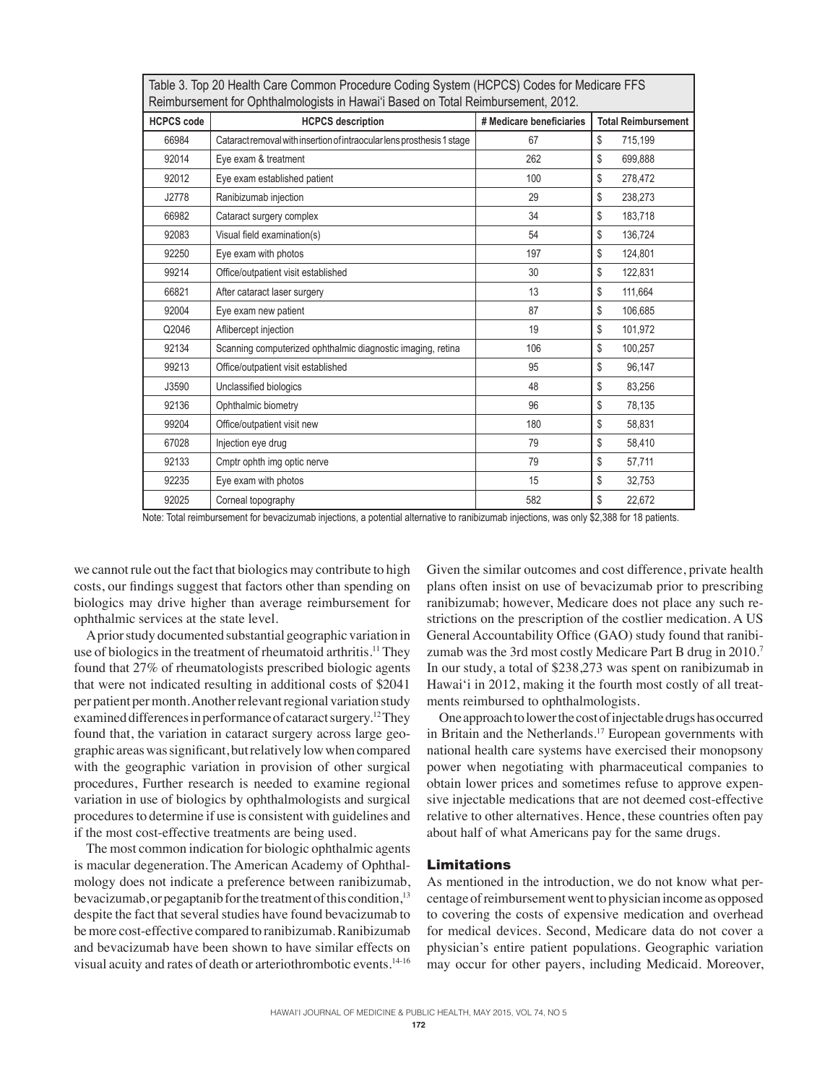| Table 3. Top 20 Health Care Common Procedure Coding System (HCPCS) Codes for Medicare FFS<br>Reimbursement for Ophthalmologists in Hawai'i Based on Total Reimbursement, 2012. |                                                                        |                          |                            |  |  |  |
|--------------------------------------------------------------------------------------------------------------------------------------------------------------------------------|------------------------------------------------------------------------|--------------------------|----------------------------|--|--|--|
| <b>HCPCS code</b>                                                                                                                                                              | <b>HCPCS</b> description                                               | # Medicare beneficiaries | <b>Total Reimbursement</b> |  |  |  |
| 66984                                                                                                                                                                          | Cataract removal with insertion of intraocular lens prosthesis 1 stage | 67                       | \$<br>715,199              |  |  |  |
| 92014                                                                                                                                                                          | Eye exam & treatment                                                   | 262                      | \$<br>699,888              |  |  |  |
| 92012                                                                                                                                                                          | Eye exam established patient                                           | 100                      | \$<br>278,472              |  |  |  |
| J2778                                                                                                                                                                          | Ranibizumab injection                                                  | 29                       | \$<br>238,273              |  |  |  |
| 66982                                                                                                                                                                          | Cataract surgery complex                                               | 34                       | \$<br>183,718              |  |  |  |
| 92083                                                                                                                                                                          | Visual field examination(s)                                            | 54                       | \$<br>136,724              |  |  |  |
| 92250                                                                                                                                                                          | Eye exam with photos                                                   | 197                      | \$<br>124,801              |  |  |  |
| 99214                                                                                                                                                                          | Office/outpatient visit established                                    | 30                       | \$<br>122,831              |  |  |  |
| 66821                                                                                                                                                                          | After cataract laser surgery                                           | 13                       | \$<br>111,664              |  |  |  |
| 92004                                                                                                                                                                          | Eye exam new patient                                                   | 87                       | \$<br>106,685              |  |  |  |
| Q2046                                                                                                                                                                          | Aflibercept injection                                                  | 19                       | \$<br>101,972              |  |  |  |
| 92134                                                                                                                                                                          | Scanning computerized ophthalmic diagnostic imaging, retina            | 106                      | \$<br>100,257              |  |  |  |
| 99213                                                                                                                                                                          | Office/outpatient visit established                                    | 95                       | \$<br>96,147               |  |  |  |
| J3590                                                                                                                                                                          | Unclassified biologics                                                 | 48                       | \$<br>83,256               |  |  |  |
| 92136                                                                                                                                                                          | Ophthalmic biometry                                                    | 96                       | \$<br>78,135               |  |  |  |
| 99204                                                                                                                                                                          | Office/outpatient visit new                                            | 180                      | \$<br>58,831               |  |  |  |
| 67028                                                                                                                                                                          | Injection eye drug                                                     | 79                       | \$<br>58,410               |  |  |  |
| 92133                                                                                                                                                                          | Cmptr ophth img optic nerve                                            | 79                       | \$<br>57,711               |  |  |  |
| 92235                                                                                                                                                                          | Eye exam with photos                                                   | 15                       | \$<br>32,753               |  |  |  |
| 92025                                                                                                                                                                          | Corneal topography                                                     | 582                      | \$<br>22,672               |  |  |  |

Note: Total reimbursement for bevacizumab injections, a potential alternative to ranibizumab injections, was only \$2,388 for 18 patients.

we cannot rule out the fact that biologics may contribute to high costs, our findings suggest that factors other than spending on biologics may drive higher than average reimbursement for ophthalmic services at the state level.

A prior study documented substantial geographic variation in use of biologics in the treatment of rheumatoid arthritis.<sup>11</sup> They found that 27% of rheumatologists prescribed biologic agents that were not indicated resulting in additional costs of \$2041 per patient per month. Another relevant regional variation study examined differences in performance of cataract surgery.<sup>12</sup>They found that, the variation in cataract surgery across large geographic areas was significant, but relatively low when compared with the geographic variation in provision of other surgical procedures, Further research is needed to examine regional variation in use of biologics by ophthalmologists and surgical procedures to determine if use is consistent with guidelines and if the most cost-effective treatments are being used.

The most common indication for biologic ophthalmic agents is macular degeneration.The American Academy of Ophthalmology does not indicate a preference between ranibizumab, bevacizumab, or pegaptanib for the treatment of this condition,<sup>13</sup> despite the fact that several studies have found bevacizumab to be more cost-effective compared to ranibizumab. Ranibizumab and bevacizumab have been shown to have similar effects on visual acuity and rates of death or arteriothrombotic events.14-16

Given the similar outcomes and cost difference, private health plans often insist on use of bevacizumab prior to prescribing ranibizumab; however, Medicare does not place any such restrictions on the prescription of the costlier medication. A US General Accountability Office (GAO) study found that ranibizumab was the 3rd most costly Medicare Part B drug in 2010.<sup>7</sup> In our study, a total of \$238,273 was spent on ranibizumab in Hawai'i in 2012, making it the fourth most costly of all treatments reimbursed to ophthalmologists.

One approach to lower the cost of injectable drugs has occurred in Britain and the Netherlands.<sup>17</sup> European governments with national health care systems have exercised their monopsony power when negotiating with pharmaceutical companies to obtain lower prices and sometimes refuse to approve expensive injectable medications that are not deemed cost-effective relative to other alternatives. Hence, these countries often pay about half of what Americans pay for the same drugs.

# Limitations

As mentioned in the introduction, we do not know what percentage of reimbursement went to physician income as opposed to covering the costs of expensive medication and overhead for medical devices. Second, Medicare data do not cover a physician's entire patient populations. Geographic variation may occur for other payers, including Medicaid. Moreover,